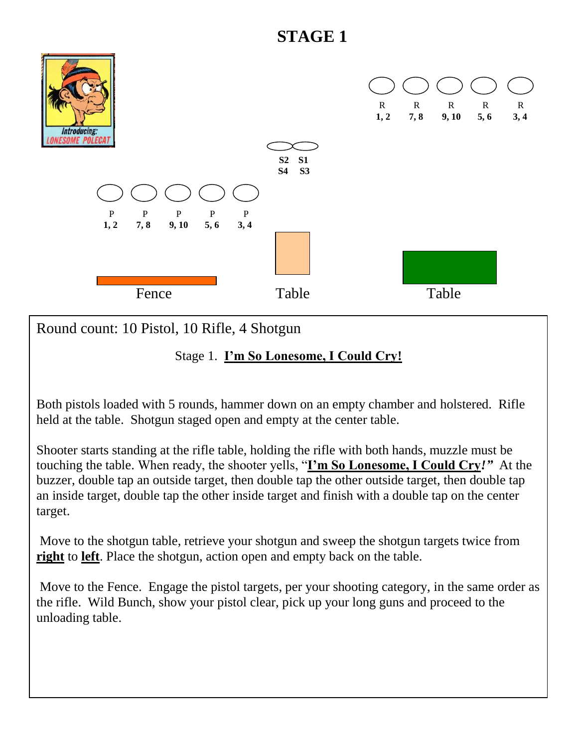# **STAGE 1**



Round count: 10 Pistol, 10 Rifle, 4 Shotgun

#### Stage 1. **I'm So Lonesome, I Could Cry!**

Both pistols loaded with 5 rounds, hammer down on an empty chamber and holstered. Rifle held at the table. Shotgun staged open and empty at the center table.

Shooter starts standing at the rifle table, holding the rifle with both hands, muzzle must be touching the table. When ready, the shooter yells, "**I'm So Lonesome, I Could Cry***!"* At the buzzer, double tap an outside target, then double tap the other outside target, then double tap an inside target, double tap the other inside target and finish with a double tap on the center target.

Move to the shotgun table, retrieve your shotgun and sweep the shotgun targets twice from **right** to **left**. Place the shotgun, action open and empty back on the table.

Move to the Fence. Engage the pistol targets, per your shooting category, in the same order as the rifle. Wild Bunch, show your pistol clear, pick up your long guns and proceed to the unloading table.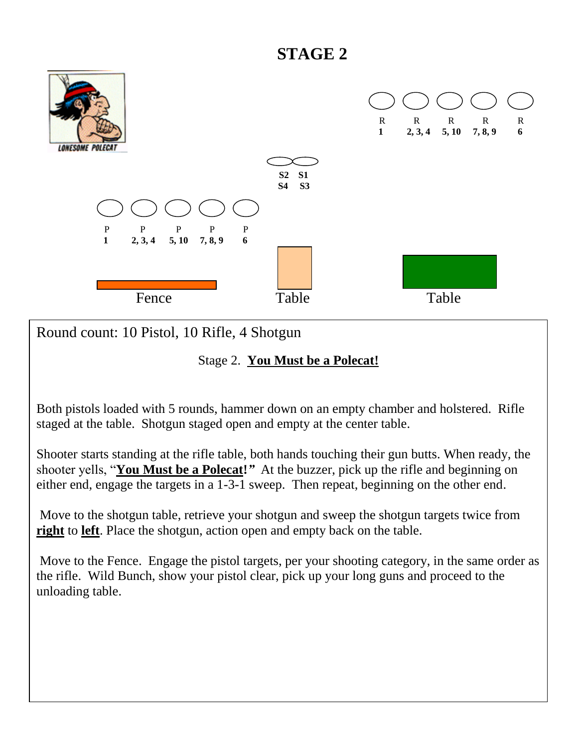### **STAGE 2**



Round count: 10 Pistol, 10 Rifle, 4 Shotgun

#### Stage 2. **You Must be a Polecat!**

Both pistols loaded with 5 rounds, hammer down on an empty chamber and holstered. Rifle staged at the table. Shotgun staged open and empty at the center table.

Shooter starts standing at the rifle table, both hands touching their gun butts. When ready, the shooter yells, "**You Must be a Polecat!***"* At the buzzer, pick up the rifle and beginning on either end, engage the targets in a 1-3-1 sweep. Then repeat, beginning on the other end.

Move to the shotgun table, retrieve your shotgun and sweep the shotgun targets twice from **right** to **left**. Place the shotgun, action open and empty back on the table.

Move to the Fence. Engage the pistol targets, per your shooting category, in the same order as the rifle. Wild Bunch, show your pistol clear, pick up your long guns and proceed to the unloading table.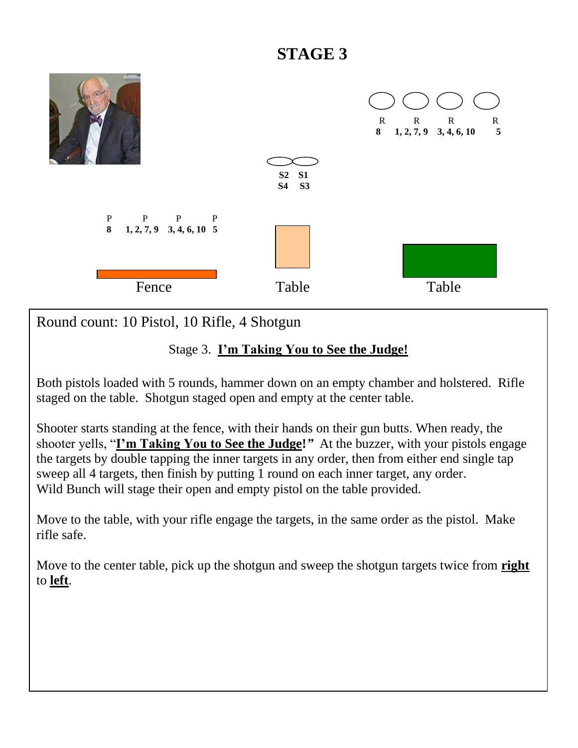# **STAGE 3**



Round count: 10 Pistol, 10 Rifle, 4 Shotgun

### Stage 3. **I'm Taking You to See the Judge!**

Both pistols loaded with 5 rounds, hammer down on an empty chamber and holstered. Rifle staged on the table. Shotgun staged open and empty at the center table.

Shooter starts standing at the fence, with their hands on their gun butts. When ready, the shooter yells, "**I'm Taking You to See the Judge!***"* At the buzzer, with your pistols engage the targets by double tapping the inner targets in any order, then from either end single tap sweep all 4 targets, then finish by putting 1 round on each inner target, any order. Wild Bunch will stage their open and empty pistol on the table provided.

Move to the table, with your rifle engage the targets, in the same order as the pistol. Make rifle safe.

Move to the center table, pick up the shotgun and sweep the shotgun targets twice from **right** to **left**.